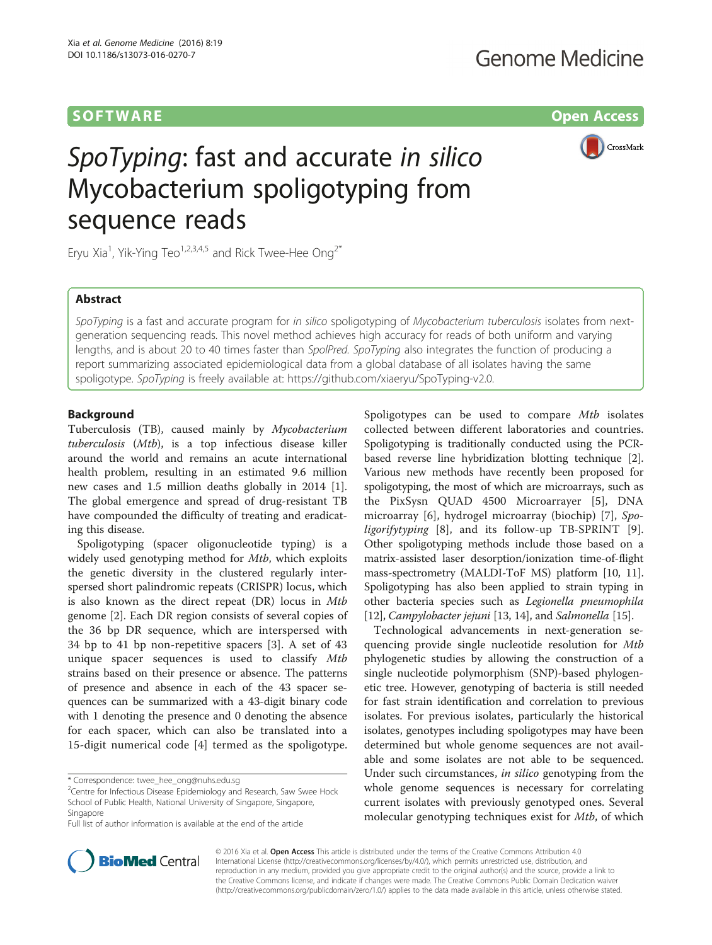# SO F TWA R E Open Access And The Contract of the Contract of the Contract of the Contract of the Contract of the Contract of the Contract of the Contract of the Contract of the Contract of the Contract of the Contract of t



# SpoTyping: fast and accurate in silico Mycobacterium spoligotyping from sequence reads

Eryu Xia<sup>1</sup>, Yik-Ying Teo $^{1,2,3,4,5}$  and Rick Twee-Hee Ong<sup>2\*</sup>

# Abstract

SpoTyping is a fast and accurate program for in silico spoligotyping of Mycobacterium tuberculosis isolates from nextgeneration sequencing reads. This novel method achieves high accuracy for reads of both uniform and varying lengths, and is about 20 to 40 times faster than SpolPred. SpoTyping also integrates the function of producing a report summarizing associated epidemiological data from a global database of all isolates having the same spoligotype. SpoTyping is freely available at: [https://github.com/xiaeryu/SpoTyping-v2.0.](https://github.com/xiaeryu/SpoTyping-v2.0)

# Background

Tuberculosis (TB), caused mainly by Mycobacterium tuberculosis (Mtb), is a top infectious disease killer around the world and remains an acute international health problem, resulting in an estimated 9.6 million new cases and 1.5 million deaths globally in 2014 [\[1](#page-7-0)]. The global emergence and spread of drug-resistant TB have compounded the difficulty of treating and eradicating this disease.

Spoligotyping (spacer oligonucleotide typing) is a widely used genotyping method for Mtb, which exploits the genetic diversity in the clustered regularly interspersed short palindromic repeats (CRISPR) locus, which is also known as the direct repeat (DR) locus in Mtb genome [\[2](#page-7-0)]. Each DR region consists of several copies of the 36 bp DR sequence, which are interspersed with 34 bp to 41 bp non-repetitive spacers [[3\]](#page-7-0). A set of 43 unique spacer sequences is used to classify Mtb strains based on their presence or absence. The patterns of presence and absence in each of the 43 spacer sequences can be summarized with a 43-digit binary code with 1 denoting the presence and 0 denoting the absence for each spacer, which can also be translated into a 15-digit numerical code [[4\]](#page-7-0) termed as the spoligotype.

\* Correspondence: [twee\\_hee\\_ong@nuhs.edu.sg](mailto:twee_hee_ong@nuhs.edu.sg) <sup>2</sup>

Spoligotypes can be used to compare Mtb isolates collected between different laboratories and countries. Spoligotyping is traditionally conducted using the PCRbased reverse line hybridization blotting technique [[2](#page-7-0)]. Various new methods have recently been proposed for spoligotyping, the most of which are microarrays, such as the PixSysn QUAD 4500 Microarrayer [[5](#page-7-0)], DNA microarray [\[6](#page-7-0)], hydrogel microarray (biochip) [[7\]](#page-7-0), Spo-ligorifytyping [[8\]](#page-7-0), and its follow-up TB-SPRINT [\[9](#page-7-0)]. Other spoligotyping methods include those based on a matrix-assisted laser desorption/ionization time-of-flight mass-spectrometry (MALDI-ToF MS) platform [[10](#page-7-0), [11](#page-7-0)]. Spoligotyping has also been applied to strain typing in other bacteria species such as Legionella pneumophila [[12](#page-7-0)], Campylobacter jejuni [\[13, 14](#page-7-0)], and Salmonella [[15](#page-7-0)].

Technological advancements in next-generation sequencing provide single nucleotide resolution for Mtb phylogenetic studies by allowing the construction of a single nucleotide polymorphism (SNP)-based phylogenetic tree. However, genotyping of bacteria is still needed for fast strain identification and correlation to previous isolates. For previous isolates, particularly the historical isolates, genotypes including spoligotypes may have been determined but whole genome sequences are not available and some isolates are not able to be sequenced. Under such circumstances, in silico genotyping from the whole genome sequences is necessary for correlating current isolates with previously genotyped ones. Several molecular genotyping techniques exist for Mtb, of which



© 2016 Xia et al. Open Access This article is distributed under the terms of the Creative Commons Attribution 4.0 International License [\(http://creativecommons.org/licenses/by/4.0/](http://creativecommons.org/licenses/by/4.0/)), which permits unrestricted use, distribution, and reproduction in any medium, provided you give appropriate credit to the original author(s) and the source, provide a link to the Creative Commons license, and indicate if changes were made. The Creative Commons Public Domain Dedication waiver [\(http://creativecommons.org/publicdomain/zero/1.0/](http://creativecommons.org/publicdomain/zero/1.0/)) applies to the data made available in this article, unless otherwise stated.

<sup>&</sup>lt;sup>2</sup> Centre for Infectious Disease Epidemiology and Research, Saw Swee Hock School of Public Health, National University of Singapore, Singapore, Singapore

Full list of author information is available at the end of the article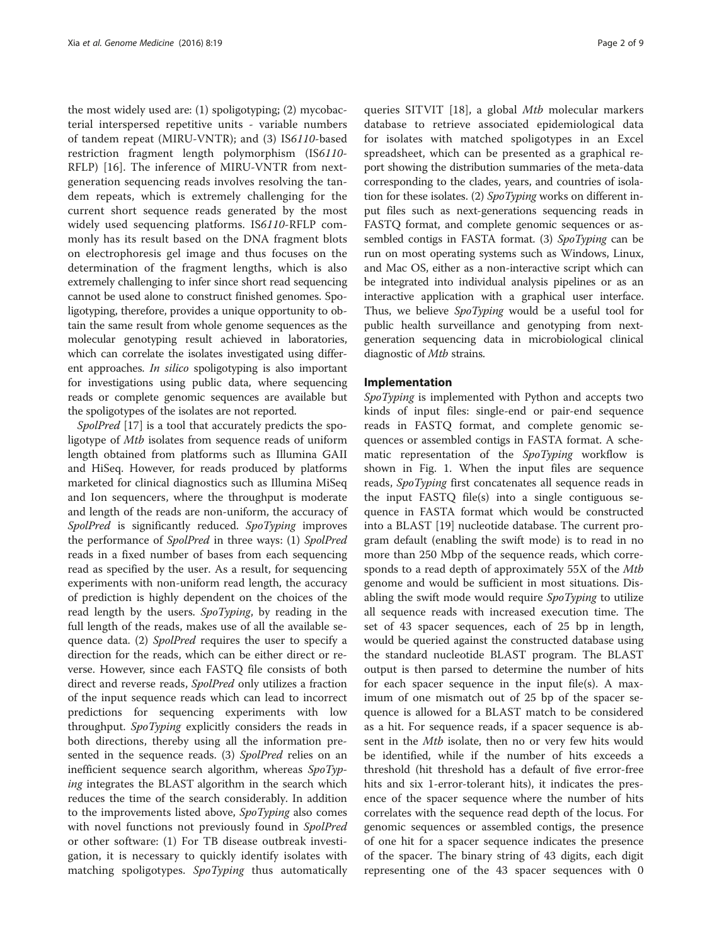the most widely used are: (1) spoligotyping; (2) mycobacterial interspersed repetitive units - variable numbers of tandem repeat (MIRU-VNTR); and (3) IS6110-based restriction fragment length polymorphism (IS6110- RFLP) [[16\]](#page-7-0). The inference of MIRU-VNTR from nextgeneration sequencing reads involves resolving the tandem repeats, which is extremely challenging for the current short sequence reads generated by the most widely used sequencing platforms. IS6110-RFLP commonly has its result based on the DNA fragment blots on electrophoresis gel image and thus focuses on the determination of the fragment lengths, which is also extremely challenging to infer since short read sequencing cannot be used alone to construct finished genomes. Spoligotyping, therefore, provides a unique opportunity to obtain the same result from whole genome sequences as the molecular genotyping result achieved in laboratories, which can correlate the isolates investigated using different approaches. In silico spoligotyping is also important for investigations using public data, where sequencing reads or complete genomic sequences are available but the spoligotypes of the isolates are not reported.

SpolPred [[17\]](#page-7-0) is a tool that accurately predicts the spoligotype of Mtb isolates from sequence reads of uniform length obtained from platforms such as Illumina GAII and HiSeq. However, for reads produced by platforms marketed for clinical diagnostics such as Illumina MiSeq and Ion sequencers, where the throughput is moderate and length of the reads are non-uniform, the accuracy of SpolPred is significantly reduced. SpoTyping improves the performance of SpolPred in three ways: (1) SpolPred reads in a fixed number of bases from each sequencing read as specified by the user. As a result, for sequencing experiments with non-uniform read length, the accuracy of prediction is highly dependent on the choices of the read length by the users. SpoTyping, by reading in the full length of the reads, makes use of all the available sequence data. (2) SpolPred requires the user to specify a direction for the reads, which can be either direct or reverse. However, since each FASTQ file consists of both direct and reverse reads, SpolPred only utilizes a fraction of the input sequence reads which can lead to incorrect predictions for sequencing experiments with low throughput. SpoTyping explicitly considers the reads in both directions, thereby using all the information presented in the sequence reads. (3) SpolPred relies on an inefficient sequence search algorithm, whereas SpoTyping integrates the BLAST algorithm in the search which reduces the time of the search considerably. In addition to the improvements listed above, SpoTyping also comes with novel functions not previously found in SpolPred or other software: (1) For TB disease outbreak investigation, it is necessary to quickly identify isolates with matching spoligotypes. SpoTyping thus automatically

queries SITVIT [[18](#page-7-0)], a global Mtb molecular markers database to retrieve associated epidemiological data for isolates with matched spoligotypes in an Excel spreadsheet, which can be presented as a graphical report showing the distribution summaries of the meta-data corresponding to the clades, years, and countries of isolation for these isolates. (2) SpoTyping works on different input files such as next-generations sequencing reads in FASTQ format, and complete genomic sequences or assembled contigs in FASTA format. (3) SpoTyping can be run on most operating systems such as Windows, Linux, and Mac OS, either as a non-interactive script which can be integrated into individual analysis pipelines or as an interactive application with a graphical user interface. Thus, we believe SpoTyping would be a useful tool for public health surveillance and genotyping from nextgeneration sequencing data in microbiological clinical diagnostic of Mtb strains.

#### Implementation

SpoTyping is implemented with Python and accepts two kinds of input files: single-end or pair-end sequence reads in FASTQ format, and complete genomic sequences or assembled contigs in FASTA format. A schematic representation of the SpoTyping workflow is shown in Fig. [1](#page-2-0). When the input files are sequence reads, SpoTyping first concatenates all sequence reads in the input FASTQ file(s) into a single contiguous sequence in FASTA format which would be constructed into a BLAST [[19](#page-7-0)] nucleotide database. The current program default (enabling the swift mode) is to read in no more than 250 Mbp of the sequence reads, which corresponds to a read depth of approximately 55X of the *Mtb* genome and would be sufficient in most situations. Disabling the swift mode would require SpoTyping to utilize all sequence reads with increased execution time. The set of 43 spacer sequences, each of 25 bp in length, would be queried against the constructed database using the standard nucleotide BLAST program. The BLAST output is then parsed to determine the number of hits for each spacer sequence in the input file(s). A maximum of one mismatch out of 25 bp of the spacer sequence is allowed for a BLAST match to be considered as a hit. For sequence reads, if a spacer sequence is absent in the Mtb isolate, then no or very few hits would be identified, while if the number of hits exceeds a threshold (hit threshold has a default of five error-free hits and six 1-error-tolerant hits), it indicates the presence of the spacer sequence where the number of hits correlates with the sequence read depth of the locus. For genomic sequences or assembled contigs, the presence of one hit for a spacer sequence indicates the presence of the spacer. The binary string of 43 digits, each digit representing one of the 43 spacer sequences with 0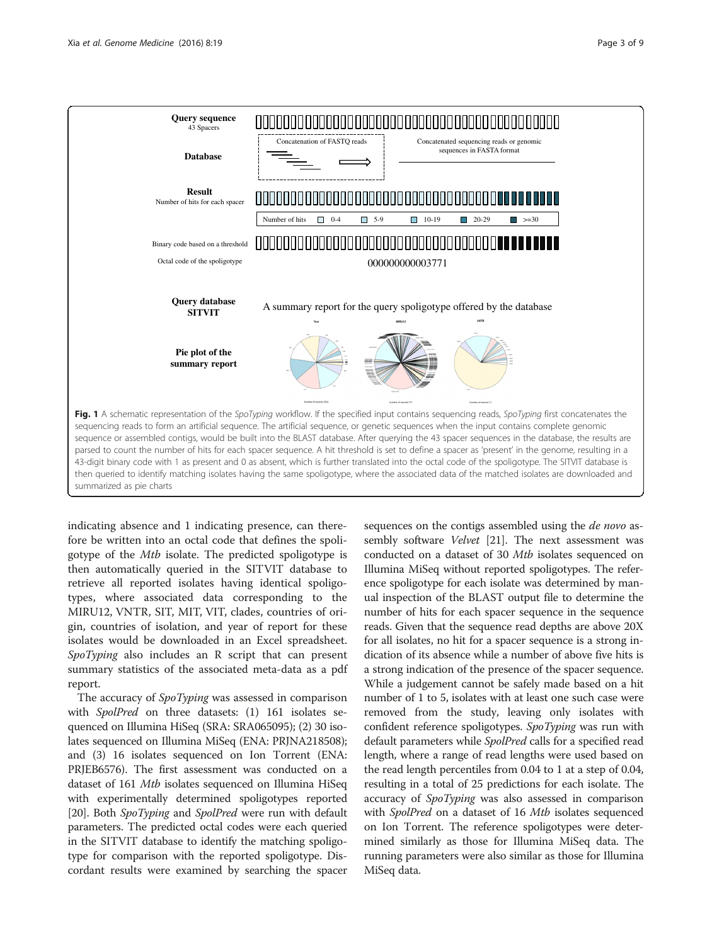<span id="page-2-0"></span>

indicating absence and 1 indicating presence, can therefore be written into an octal code that defines the spoligotype of the Mtb isolate. The predicted spoligotype is then automatically queried in the SITVIT database to retrieve all reported isolates having identical spoligotypes, where associated data corresponding to the MIRU12, VNTR, SIT, MIT, VIT, clades, countries of origin, countries of isolation, and year of report for these isolates would be downloaded in an Excel spreadsheet. SpoTyping also includes an R script that can present summary statistics of the associated meta-data as a pdf report.

The accuracy of *SpoTyping* was assessed in comparison with SpolPred on three datasets: (1) 161 isolates sequenced on Illumina HiSeq (SRA: SRA065095); (2) 30 isolates sequenced on Illumina MiSeq (ENA: PRJNA218508); and (3) 16 isolates sequenced on Ion Torrent (ENA: PRJEB6576). The first assessment was conducted on a dataset of 161 Mtb isolates sequenced on Illumina HiSeq with experimentally determined spoligotypes reported [[20](#page-8-0)]. Both SpoTyping and SpolPred were run with default parameters. The predicted octal codes were each queried in the SITVIT database to identify the matching spoligotype for comparison with the reported spoligotype. Discordant results were examined by searching the spacer sequences on the contigs assembled using the *de novo* assembly software Velvet [[21](#page-8-0)]. The next assessment was conducted on a dataset of 30 Mtb isolates sequenced on Illumina MiSeq without reported spoligotypes. The reference spoligotype for each isolate was determined by manual inspection of the BLAST output file to determine the number of hits for each spacer sequence in the sequence reads. Given that the sequence read depths are above 20X for all isolates, no hit for a spacer sequence is a strong indication of its absence while a number of above five hits is a strong indication of the presence of the spacer sequence. While a judgement cannot be safely made based on a hit number of 1 to 5, isolates with at least one such case were removed from the study, leaving only isolates with confident reference spoligotypes. SpoTyping was run with default parameters while SpolPred calls for a specified read length, where a range of read lengths were used based on the read length percentiles from 0.04 to 1 at a step of 0.04, resulting in a total of 25 predictions for each isolate. The accuracy of SpoTyping was also assessed in comparison with SpolPred on a dataset of 16 Mtb isolates sequenced on Ion Torrent. The reference spoligotypes were determined similarly as those for Illumina MiSeq data. The running parameters were also similar as those for Illumina MiSeq data.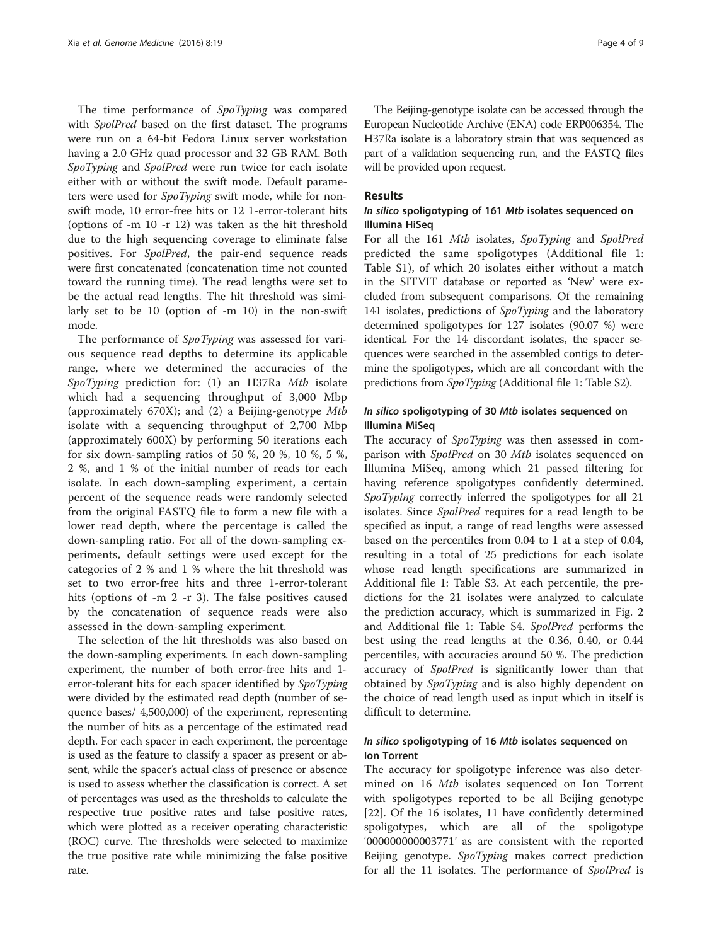The time performance of SpoTyping was compared with *SpolPred* based on the first dataset. The programs were run on a 64-bit Fedora Linux server workstation having a 2.0 GHz quad processor and 32 GB RAM. Both SpoTyping and SpolPred were run twice for each isolate either with or without the swift mode. Default parameters were used for SpoTyping swift mode, while for nonswift mode, 10 error-free hits or 12 1-error-tolerant hits (options of -m 10 -r 12) was taken as the hit threshold due to the high sequencing coverage to eliminate false positives. For SpolPred, the pair-end sequence reads were first concatenated (concatenation time not counted toward the running time). The read lengths were set to be the actual read lengths. The hit threshold was similarly set to be 10 (option of -m 10) in the non-swift mode.

The performance of SpoTyping was assessed for various sequence read depths to determine its applicable range, where we determined the accuracies of the SpoTyping prediction for: (1) an H37Ra Mtb isolate which had a sequencing throughput of 3,000 Mbp (approximately  $670X$ ); and  $(2)$  a Beijing-genotype Mtb isolate with a sequencing throughput of 2,700 Mbp (approximately 600X) by performing 50 iterations each for six down-sampling ratios of 50 %, 20 %, 10 %, 5 %, 2 %, and 1 % of the initial number of reads for each isolate. In each down-sampling experiment, a certain percent of the sequence reads were randomly selected from the original FASTQ file to form a new file with a lower read depth, where the percentage is called the down-sampling ratio. For all of the down-sampling experiments, default settings were used except for the categories of 2 % and 1 % where the hit threshold was set to two error-free hits and three 1-error-tolerant hits (options of -m 2 -r 3). The false positives caused by the concatenation of sequence reads were also assessed in the down-sampling experiment.

The selection of the hit thresholds was also based on the down-sampling experiments. In each down-sampling experiment, the number of both error-free hits and 1 error-tolerant hits for each spacer identified by SpoTyping were divided by the estimated read depth (number of sequence bases/ 4,500,000) of the experiment, representing the number of hits as a percentage of the estimated read depth. For each spacer in each experiment, the percentage is used as the feature to classify a spacer as present or absent, while the spacer's actual class of presence or absence is used to assess whether the classification is correct. A set of percentages was used as the thresholds to calculate the respective true positive rates and false positive rates, which were plotted as a receiver operating characteristic (ROC) curve. The thresholds were selected to maximize the true positive rate while minimizing the false positive rate.

The Beijing-genotype isolate can be accessed through the European Nucleotide Archive (ENA) code ERP006354. The H37Ra isolate is a laboratory strain that was sequenced as part of a validation sequencing run, and the FASTQ files will be provided upon request.

### Results

## In silico spoligotyping of 161 Mtb isolates sequenced on Illumina HiSeq

For all the 161 Mtb isolates, SpoTyping and SpolPred predicted the same spoligotypes (Additional file [1](#page-7-0): Table S1), of which 20 isolates either without a match in the SITVIT database or reported as 'New' were excluded from subsequent comparisons. Of the remaining 141 isolates, predictions of SpoTyping and the laboratory determined spoligotypes for 127 isolates (90.07 %) were identical. For the 14 discordant isolates, the spacer sequences were searched in the assembled contigs to determine the spoligotypes, which are all concordant with the predictions from SpoTyping (Additional file [1](#page-7-0): Table S2).

# In silico spoligotyping of 30 Mtb isolates sequenced on Illumina MiSeq

The accuracy of SpoTyping was then assessed in comparison with SpolPred on 30 Mtb isolates sequenced on Illumina MiSeq, among which 21 passed filtering for having reference spoligotypes confidently determined. SpoTyping correctly inferred the spoligotypes for all 21 isolates. Since SpolPred requires for a read length to be specified as input, a range of read lengths were assessed based on the percentiles from 0.04 to 1 at a step of 0.04, resulting in a total of 25 predictions for each isolate whose read length specifications are summarized in Additional file [1](#page-7-0): Table S3. At each percentile, the predictions for the 21 isolates were analyzed to calculate the prediction accuracy, which is summarized in Fig. [2](#page-4-0) and Additional file [1:](#page-7-0) Table S4. SpolPred performs the best using the read lengths at the 0.36, 0.40, or 0.44 percentiles, with accuracies around 50 %. The prediction accuracy of SpolPred is significantly lower than that obtained by SpoTyping and is also highly dependent on the choice of read length used as input which in itself is difficult to determine.

# In silico spoligotyping of 16 Mtb isolates sequenced on Ion Torrent

The accuracy for spoligotype inference was also determined on 16 *Mtb* isolates sequenced on Ion Torrent with spoligotypes reported to be all Beijing genotype [[22\]](#page-8-0). Of the 16 isolates, 11 have confidently determined spoligotypes, which are all of the spoligotype '000000000003771' as are consistent with the reported Beijing genotype. SpoTyping makes correct prediction for all the 11 isolates. The performance of SpolPred is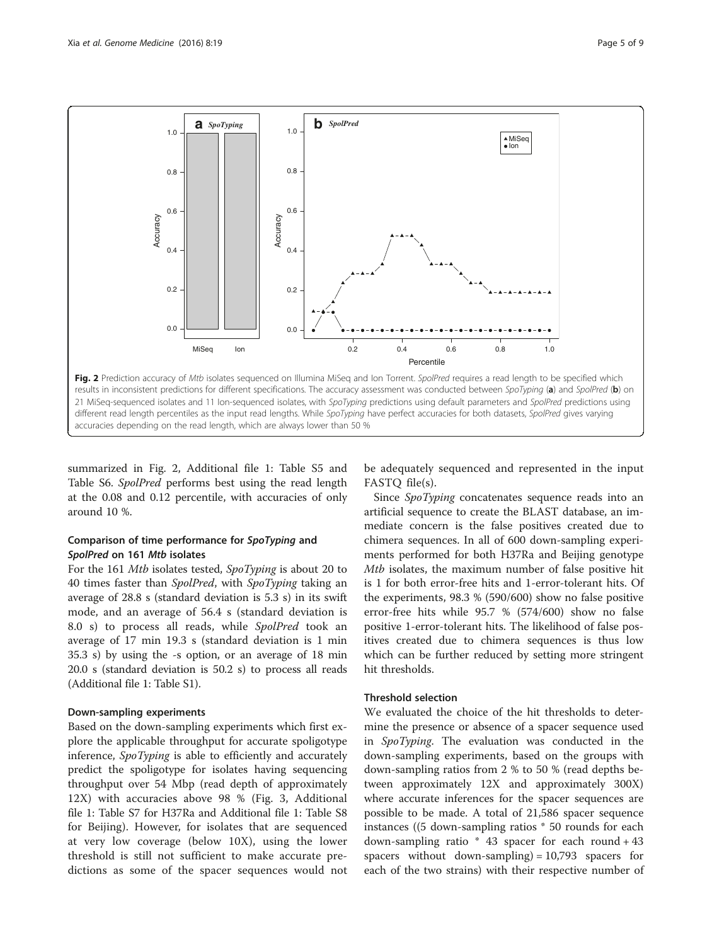<span id="page-4-0"></span>

summarized in Fig. 2, Additional file [1](#page-7-0): Table S5 and Table S6. SpolPred performs best using the read length at the 0.08 and 0.12 percentile, with accuracies of only around 10 %.

## Comparison of time performance for SpoTyping and SpolPred on 161 Mtb isolates

For the 161 Mtb isolates tested, SpoTyping is about 20 to 40 times faster than SpolPred, with SpoTyping taking an average of 28.8 s (standard deviation is 5.3 s) in its swift mode, and an average of 56.4 s (standard deviation is 8.0 s) to process all reads, while SpolPred took an average of 17 min 19.3 s (standard deviation is 1 min 35.3 s) by using the -s option, or an average of 18 min 20.0 s (standard deviation is 50.2 s) to process all reads (Additional file [1](#page-7-0): Table S1).

#### Down-sampling experiments

Based on the down-sampling experiments which first explore the applicable throughput for accurate spoligotype inference, *SpoTyping* is able to efficiently and accurately predict the spoligotype for isolates having sequencing throughput over 54 Mbp (read depth of approximately 12X) with accuracies above 98 % (Fig. [3](#page-5-0), Additional file [1](#page-7-0): Table S7 for H37Ra and Additional file [1](#page-7-0): Table S8 for Beijing). However, for isolates that are sequenced at very low coverage (below 10X), using the lower threshold is still not sufficient to make accurate predictions as some of the spacer sequences would not be adequately sequenced and represented in the input FASTQ file(s).

Since SpoTyping concatenates sequence reads into an artificial sequence to create the BLAST database, an immediate concern is the false positives created due to chimera sequences. In all of 600 down-sampling experiments performed for both H37Ra and Beijing genotype Mtb isolates, the maximum number of false positive hit is 1 for both error-free hits and 1-error-tolerant hits. Of the experiments, 98.3 % (590/600) show no false positive error-free hits while 95.7 % (574/600) show no false positive 1-error-tolerant hits. The likelihood of false positives created due to chimera sequences is thus low which can be further reduced by setting more stringent hit thresholds.

# Threshold selection

We evaluated the choice of the hit thresholds to determine the presence or absence of a spacer sequence used in SpoTyping. The evaluation was conducted in the down-sampling experiments, based on the groups with down-sampling ratios from 2 % to 50 % (read depths between approximately 12X and approximately 300X) where accurate inferences for the spacer sequences are possible to be made. A total of 21,586 spacer sequence instances ((5 down-sampling ratios \* 50 rounds for each down-sampling ratio \* 43 spacer for each round + 43 spacers without down-sampling) =  $10,793$  spacers for each of the two strains) with their respective number of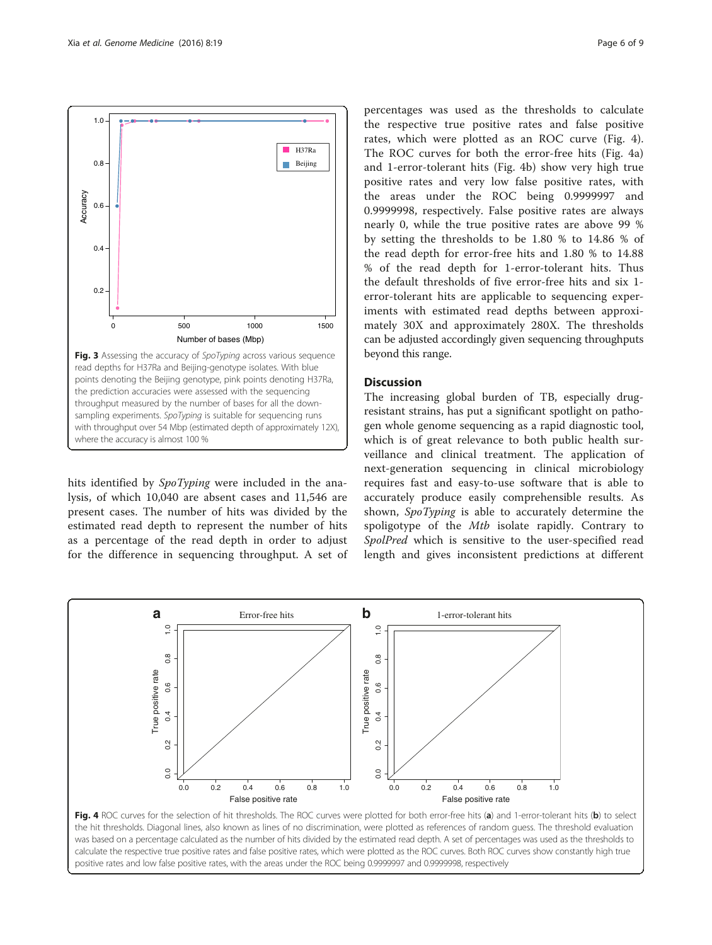<span id="page-5-0"></span>

hits identified by SpoTyping were included in the analysis, of which 10,040 are absent cases and 11,546 are present cases. The number of hits was divided by the estimated read depth to represent the number of hits as a percentage of the read depth in order to adjust for the difference in sequencing throughput. A set of

percentages was used as the thresholds to calculate the respective true positive rates and false positive rates, which were plotted as an ROC curve (Fig. 4). The ROC curves for both the error-free hits (Fig. 4a) and 1-error-tolerant hits (Fig. 4b) show very high true positive rates and very low false positive rates, with the areas under the ROC being 0.9999997 and 0.9999998, respectively. False positive rates are always nearly 0, while the true positive rates are above 99 % by setting the thresholds to be 1.80 % to 14.86 % of the read depth for error-free hits and 1.80 % to 14.88 % of the read depth for 1-error-tolerant hits. Thus the default thresholds of five error-free hits and six 1 error-tolerant hits are applicable to sequencing experiments with estimated read depths between approximately 30X and approximately 280X. The thresholds can be adjusted accordingly given sequencing throughputs beyond this range.

## **Discussion**

The increasing global burden of TB, especially drugresistant strains, has put a significant spotlight on pathogen whole genome sequencing as a rapid diagnostic tool, which is of great relevance to both public health surveillance and clinical treatment. The application of next-generation sequencing in clinical microbiology requires fast and easy-to-use software that is able to accurately produce easily comprehensible results. As shown, SpoTyping is able to accurately determine the spoligotype of the *Mtb* isolate rapidly. Contrary to SpolPred which is sensitive to the user-specified read length and gives inconsistent predictions at different



positive rates and low false positive rates, with the areas under the ROC being 0.9999997 and 0.9999998, respectively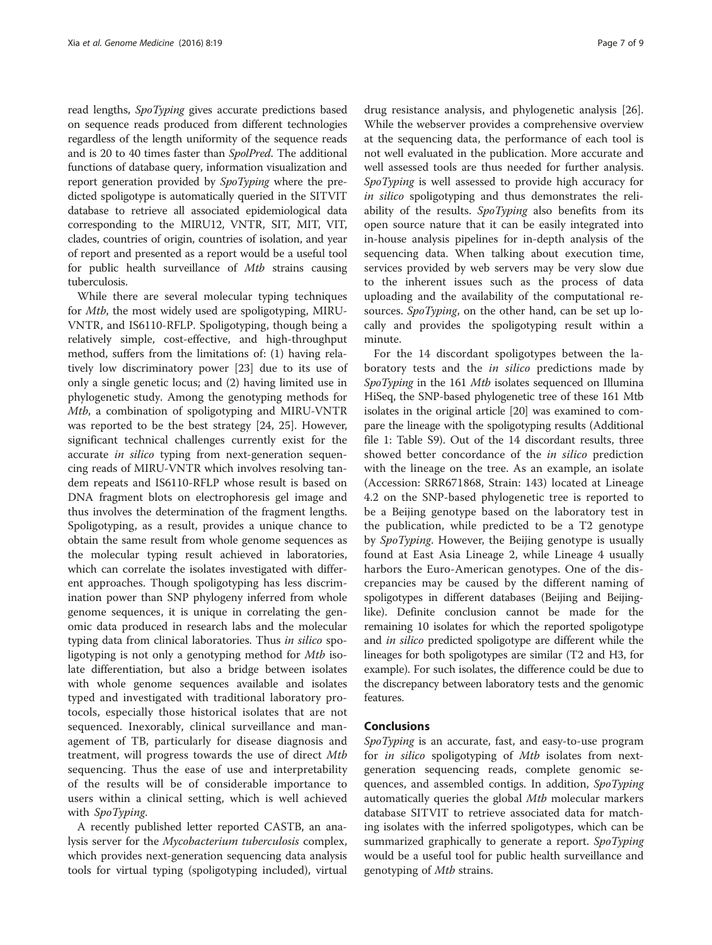read lengths, SpoTyping gives accurate predictions based on sequence reads produced from different technologies regardless of the length uniformity of the sequence reads and is 20 to 40 times faster than SpolPred. The additional functions of database query, information visualization and report generation provided by SpoTyping where the predicted spoligotype is automatically queried in the SITVIT database to retrieve all associated epidemiological data corresponding to the MIRU12, VNTR, SIT, MIT, VIT, clades, countries of origin, countries of isolation, and year of report and presented as a report would be a useful tool for public health surveillance of Mtb strains causing tuberculosis.

While there are several molecular typing techniques for Mtb, the most widely used are spoligotyping, MIRU-VNTR, and IS6110-RFLP. Spoligotyping, though being a relatively simple, cost-effective, and high-throughput method, suffers from the limitations of: (1) having relatively low discriminatory power [\[23](#page-8-0)] due to its use of only a single genetic locus; and (2) having limited use in phylogenetic study. Among the genotyping methods for Mtb, a combination of spoligotyping and MIRU-VNTR was reported to be the best strategy [\[24](#page-8-0), [25](#page-8-0)]. However, significant technical challenges currently exist for the accurate in silico typing from next-generation sequencing reads of MIRU-VNTR which involves resolving tandem repeats and IS6110-RFLP whose result is based on DNA fragment blots on electrophoresis gel image and thus involves the determination of the fragment lengths. Spoligotyping, as a result, provides a unique chance to obtain the same result from whole genome sequences as the molecular typing result achieved in laboratories, which can correlate the isolates investigated with different approaches. Though spoligotyping has less discrimination power than SNP phylogeny inferred from whole genome sequences, it is unique in correlating the genomic data produced in research labs and the molecular typing data from clinical laboratories. Thus in silico spoligotyping is not only a genotyping method for Mtb isolate differentiation, but also a bridge between isolates with whole genome sequences available and isolates typed and investigated with traditional laboratory protocols, especially those historical isolates that are not sequenced. Inexorably, clinical surveillance and management of TB, particularly for disease diagnosis and treatment, will progress towards the use of direct Mtb sequencing. Thus the ease of use and interpretability of the results will be of considerable importance to users within a clinical setting, which is well achieved with SpoTyping.

A recently published letter reported CASTB, an analysis server for the Mycobacterium tuberculosis complex, which provides next-generation sequencing data analysis tools for virtual typing (spoligotyping included), virtual

drug resistance analysis, and phylogenetic analysis [\[26](#page-8-0)]. While the webserver provides a comprehensive overview at the sequencing data, the performance of each tool is not well evaluated in the publication. More accurate and well assessed tools are thus needed for further analysis. SpoTyping is well assessed to provide high accuracy for in silico spoligotyping and thus demonstrates the reliability of the results. SpoTyping also benefits from its open source nature that it can be easily integrated into in-house analysis pipelines for in-depth analysis of the sequencing data. When talking about execution time, services provided by web servers may be very slow due to the inherent issues such as the process of data uploading and the availability of the computational resources. SpoTyping, on the other hand, can be set up locally and provides the spoligotyping result within a minute.

For the 14 discordant spoligotypes between the laboratory tests and the in silico predictions made by SpoTyping in the 161 Mtb isolates sequenced on Illumina HiSeq, the SNP-based phylogenetic tree of these 161 Mtb isolates in the original article [\[20](#page-8-0)] was examined to compare the lineage with the spoligotyping results (Additional file [1:](#page-7-0) Table S9). Out of the 14 discordant results, three showed better concordance of the *in silico* prediction with the lineage on the tree. As an example, an isolate (Accession: SRR671868, Strain: 143) located at Lineage 4.2 on the SNP-based phylogenetic tree is reported to be a Beijing genotype based on the laboratory test in the publication, while predicted to be a T2 genotype by SpoTyping. However, the Beijing genotype is usually found at East Asia Lineage 2, while Lineage 4 usually harbors the Euro-American genotypes. One of the discrepancies may be caused by the different naming of spoligotypes in different databases (Beijing and Beijinglike). Definite conclusion cannot be made for the remaining 10 isolates for which the reported spoligotype and in silico predicted spoligotype are different while the lineages for both spoligotypes are similar (T2 and H3, for example). For such isolates, the difference could be due to the discrepancy between laboratory tests and the genomic features.

#### Conclusions

SpoTyping is an accurate, fast, and easy-to-use program for in silico spoligotyping of Mtb isolates from nextgeneration sequencing reads, complete genomic sequences, and assembled contigs. In addition, SpoTyping automatically queries the global Mtb molecular markers database SITVIT to retrieve associated data for matching isolates with the inferred spoligotypes, which can be summarized graphically to generate a report. SpoTyping would be a useful tool for public health surveillance and genotyping of Mtb strains.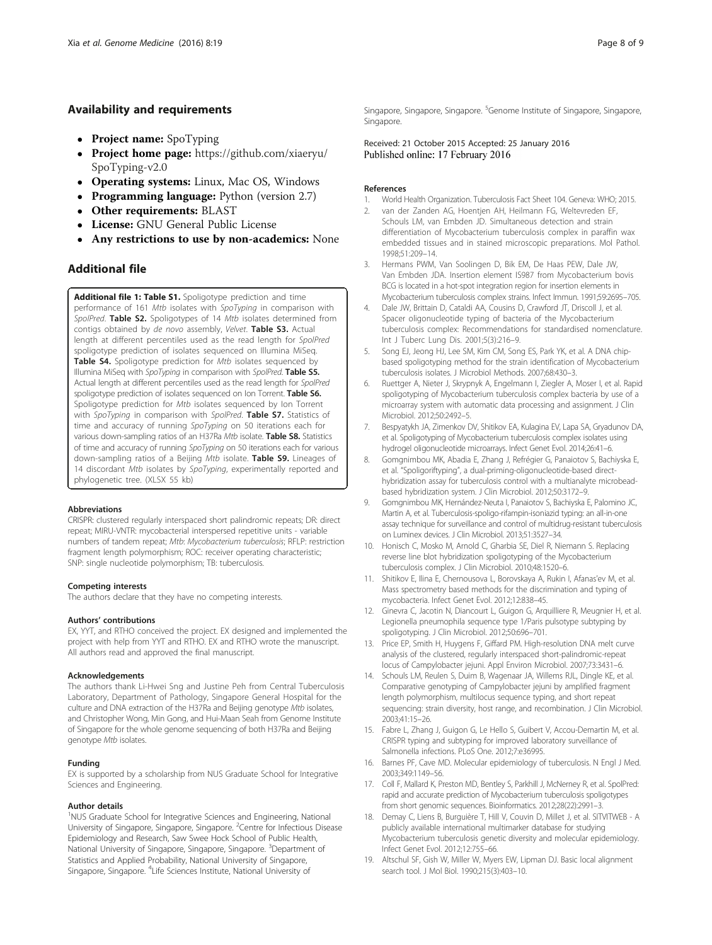# <span id="page-7-0"></span>Availability and requirements

- Project name: SpoTyping
- Project home page: [https://github.com/xiaeryu/](https://github.com/xiaeryu/SpoTyping-v2.0) [SpoTyping-v2.0](https://github.com/xiaeryu/SpoTyping-v2.0)
- Operating systems: Linux, Mac OS, Windows
- Programming language: Python (version 2.7)
- Other requirements: BLAST
- License: GNU General Public License
- Any restrictions to use by non-academics: None

# Additional file

[Additional file 1: Table S1.](dx.doi.org/10.1186/s13073-016-0270-7) Spoligotype prediction and time performance of 161 Mtb isolates with SpoTyping in comparison with SpolPred. Table S2. Spoligotypes of 14 Mtb isolates determined from contigs obtained by de novo assembly, Velvet. Table S3. Actual length at different percentiles used as the read length for SpolPred spoligotype prediction of isolates sequenced on Illumina MiSeq. Table S4. Spoligotype prediction for Mtb isolates sequenced by Illumina MiSeq with SpoTyping in comparison with SpolPred. Table S5. Actual length at different percentiles used as the read length for SpolPred spoligotype prediction of isolates sequenced on Ion Torrent. Table S6. Spoligotype prediction for Mtb isolates sequenced by Ion Torrent with SpoTyping in comparison with SpolPred. Table S7. Statistics of time and accuracy of running SpoTyping on 50 iterations each for various down-sampling ratios of an H37Ra Mtb isolate. Table S8. Statistics of time and accuracy of running SpoTyping on 50 iterations each for various down-sampling ratios of a Beijing Mtb isolate. Table S9. Lineages of 14 discordant Mtb isolates by SpoTyping, experimentally reported and phylogenetic tree. (XLSX 55 kb)

#### Abbreviations

CRISPR: clustered regularly interspaced short palindromic repeats; DR: direct repeat; MIRU-VNTR: mycobacterial interspersed repetitive units - variable numbers of tandem repeat; Mtb: Mycobacterium tuberculosis; RFLP: restriction fragment length polymorphism; ROC: receiver operating characteristic; SNP: single nucleotide polymorphism; TB: tuberculosis.

#### Competing interests

The authors declare that they have no competing interests.

#### Authors' contributions

EX, YYT, and RTHO conceived the project. EX designed and implemented the project with help from YYT and RTHO. EX and RTHO wrote the manuscript. All authors read and approved the final manuscript.

#### Acknowledgements

The authors thank Li-Hwei Sng and Justine Peh from Central Tuberculosis Laboratory, Department of Pathology, Singapore General Hospital for the culture and DNA extraction of the H37Ra and Beijing genotype Mtb isolates, and Christopher Wong, Min Gong, and Hui-Maan Seah from Genome Institute of Singapore for the whole genome sequencing of both H37Ra and Beijing genotype Mtb isolates.

#### Funding

EX is supported by a scholarship from NUS Graduate School for Integrative Sciences and Engineering.

#### Author details

<sup>1</sup>NUS Graduate School for Integrative Sciences and Engineering, National University of Singapore, Singapore, Singapore. <sup>2</sup>Centre for Infectious Disease Epidemiology and Research, Saw Swee Hock School of Public Health, National University of Singapore, Singapore, Singapore. <sup>3</sup>Department of Statistics and Applied Probability, National University of Singapore, Singapore, Singapore. <sup>4</sup> Life Sciences Institute, National University of

Singapore, Singapore, Singapore. <sup>5</sup>Genome Institute of Singapore, Singapore, Singapore.

Received: 21 October 2015 Accepted: 25 January 2016 Published online: 17 February 2016

#### References

- 1. World Health Organization. Tuberculosis Fact Sheet 104. Geneva: WHO; 2015.
- 2. van der Zanden AG, Hoentjen AH, Heilmann FG, Weltevreden EF, Schouls LM, van Embden JD. Simultaneous detection and strain differentiation of Mycobacterium tuberculosis complex in paraffin wax embedded tissues and in stained microscopic preparations. Mol Pathol. 1998;51:209–14.
- 3. Hermans PWM, Van Soolingen D, Bik EM, De Haas PEW, Dale JW, Van Embden JDA. Insertion element IS987 from Mycobacterium bovis BCG is located in a hot-spot integration region for insertion elements in Mycobacterium tuberculosis complex strains. Infect Immun. 1991;59:2695–705.
- 4. Dale JW, Brittain D, Cataldi AA, Cousins D, Crawford JT, Driscoll J, et al. Spacer oligonucleotide typing of bacteria of the Mycobacterium tuberculosis complex: Recommendations for standardised nomenclature. Int J Tuberc Lung Dis. 2001;5(3):216–9.
- 5. Song EJ, Jeong HJ, Lee SM, Kim CM, Song ES, Park YK, et al. A DNA chipbased spoligotyping method for the strain identification of Mycobacterium tuberculosis isolates. J Microbiol Methods. 2007;68:430–3.
- 6. Ruettger A, Nieter J, Skrypnyk A, Engelmann I, Ziegler A, Moser I, et al. Rapid spoligotyping of Mycobacterium tuberculosis complex bacteria by use of a microarray system with automatic data processing and assignment. J Clin Microbiol. 2012;50:2492–5.
- 7. Bespyatykh JA, Zimenkov DV, Shitikov EA, Kulagina EV, Lapa SA, Gryadunov DA, et al. Spoligotyping of Mycobacterium tuberculosis complex isolates using hydrogel oligonucleotide microarrays. Infect Genet Evol. 2014;26:41–6.
- 8. Gomgnimbou MK, Abadia E, Zhang J, Refrégier G, Panaiotov S, Bachiyska E, et al. "Spoligoriftyping", a dual-priming-oligonucleotide-based directhybridization assay for tuberculosis control with a multianalyte microbeadbased hybridization system. J Clin Microbiol. 2012;50:3172–9.
- 9. Gomgnimbou MK, Hernández-Neuta I, Panaiotov S, Bachiyska E, Palomino JC, Martin A, et al. Tuberculosis-spoligo-rifampin-isoniazid typing: an all-in-one assay technique for surveillance and control of multidrug-resistant tuberculosis on Luminex devices. J Clin Microbiol. 2013;51:3527–34.
- 10. Honisch C, Mosko M, Arnold C, Gharbia SE, Diel R, Niemann S. Replacing reverse line blot hybridization spoligotyping of the Mycobacterium tuberculosis complex. J Clin Microbiol. 2010;48:1520–6.
- 11. Shitikov E, Ilina E, Chernousova L, Borovskaya A, Rukin I, Afanas'ev M, et al. Mass spectrometry based methods for the discrimination and typing of mycobacteria. Infect Genet Evol. 2012;12:838–45.
- 12. Ginevra C, Jacotin N, Diancourt L, Guigon G, Arquilliere R, Meugnier H, et al. Legionella pneumophila sequence type 1/Paris pulsotype subtyping by spoligotyping. J Clin Microbiol. 2012;50:696–701.
- 13. Price EP, Smith H, Huygens F, Giffard PM. High-resolution DNA melt curve analysis of the clustered, regularly interspaced short-palindromic-repeat locus of Campylobacter jejuni. Appl Environ Microbiol. 2007;73:3431–6.
- 14. Schouls LM, Reulen S, Duim B, Wagenaar JA, Willems RJL, Dingle KE, et al. Comparative genotyping of Campylobacter jejuni by amplified fragment length polymorphism, multilocus sequence typing, and short repeat sequencing: strain diversity, host range, and recombination. J Clin Microbiol. 2003;41:15–26.
- 15. Fabre L, Zhang J, Guigon G, Le Hello S, Guibert V, Accou-Demartin M, et al. CRISPR typing and subtyping for improved laboratory surveillance of Salmonella infections. PLoS One. 2012;7:e36995.
- 16. Barnes PF, Cave MD. Molecular epidemiology of tuberculosis. N Engl J Med. 2003;349:1149–56.
- 17. Coll F, Mallard K, Preston MD, Bentley S, Parkhill J, McNerney R, et al. SpolPred: rapid and accurate prediction of Mycobacterium tuberculosis spoligotypes from short genomic sequences. Bioinformatics. 2012;28(22):2991–3.
- 18. Demay C, Liens B, Burguière T, Hill V, Couvin D, Millet J, et al. SITVITWEB A publicly available international multimarker database for studying Mycobacterium tuberculosis genetic diversity and molecular epidemiology. Infect Genet Evol. 2012;12:755–66.
- 19. Altschul SF, Gish W, Miller W, Myers EW, Lipman DJ. Basic local alignment search tool. J Mol Biol. 1990;215(3):403–10.